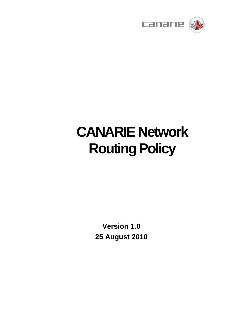

# **CANARIE Network Routing Policy**

**Version 1.0 25 August 2010**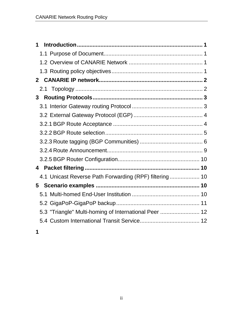| 1                                                      |  |
|--------------------------------------------------------|--|
|                                                        |  |
|                                                        |  |
|                                                        |  |
|                                                        |  |
|                                                        |  |
| 3                                                      |  |
|                                                        |  |
|                                                        |  |
|                                                        |  |
|                                                        |  |
|                                                        |  |
|                                                        |  |
|                                                        |  |
| 4                                                      |  |
| 4.1 Unicast Reverse Path Forwarding (RPF) filtering 10 |  |
| 5                                                      |  |
|                                                        |  |
|                                                        |  |
| 5.3 "Triangle" Multi-homing of International Peer  12  |  |
|                                                        |  |
|                                                        |  |

**1**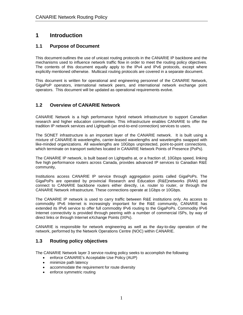# **1 Introduction**

## **1.1 Purpose of Document**

This document outlines the use of unicast routing protocols in the CANARIE IP backbone and the mechanisms used to influence network traffic flow in order to meet the routing policy objectives. The contents of this document equally apply to the IPv4 and IPv6 protocols, except where explicitly mentioned otherwise. Multicast routing protocols are covered in a separate document.

This document is written for operational and engineering personnel of the CANARIE Network, GigaPoP operators, international network peers, and international network exchange point operators. This document will be updated as operational requirements evolve.

## **1.2 Overview of CANARIE Network**

CANARIE Network is a high performance hybrid network infrastructure to support Canadian research and higher education communities. This infrastructure enables CANARIE to offer the tradition IP network services and Lightpath (an end-to-end connection) services to users.

The SONET infrastructure is an important layer of the CANARIE network. It is built using a mixture of CANARIE-lit wavelengths, carrier-leased wavelengths and wavelengths swapped with like-minded organizations. All wavelengths are 10Gbps unprotected, point-to-point connections, which terminate on transport switches located in CANARIE Network Points of Presence (PoPs).

The CANARIE IP network, is built based on Lightpaths at, or a fraction of, 10Gbps speed, linking five high performance routers across Canada, provides advanced IP services to Canadian R&E community,

Institutions access CANARIE IP service through aggregation points called GigaPoPs. The GigaPoPs are operated by provincial Research and Education (R&E)networks (RAN) and connect to CANARIE backbone routers either directly, i.e. router to router, or through the CANARIE Network infrastructure. These connections operate at 1Gbps or 10Gbps.

The CANARIE IP network is used to carry traffic between R&E institutions only. As access to commodity IPv6 Internet is increasingly important for the R&E community, CANARIE has extended its IPv6 service to offer full commodity IPv6 routing to the GigaPoPs. Commodity IPv6 Internet connectivity is provided through peering with a number of commercial ISPs, by way of direct links or through Internet eXchange Points (IXPs).

CANARIE is responsible for network engineering as well as the day-to-day operation of the network, performed by the Network Operations Centre (NOC) within CANARIE.

## **1.3 Routing policy objectives**

The CANARIE Network layer 3 service routing policy seeks to accomplish the following:

- enforce CANARIE's Acceptable Use Policy (AUP)
- minimize path latency
- accommodate the requirement for route diversity
- enforce symmetric routing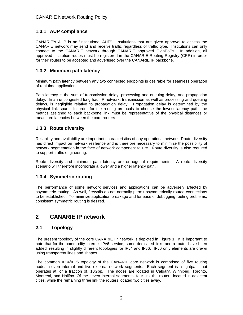## **1.3.1 AUP compliance**

CANARIE's AUP is an "institutional AUP". Institutions that are given approval to access the CANARIE network may send and receive traffic regardless of traffic type. Institutions can only connect to the CANARIE network through CANARIE approved GigaPoPs. In addition, all approved institution routes must be registered in the CANARIE Routing Registry (CRR) in order for their routes to be accepted and advertised over the CANARIE IP backbone.

## **1.3.2 Minimum path latency**

Minimum path latency between any two connected endpoints is desirable for seamless operation of real-time applications.

Path latency is the sum of transmission delay, processing and queuing delay, and propagation delay. In an uncongested long haul IP network, transmission as well as processing and queuing delays, is negligible relative to propagation delay. Propagation delay is determined by the physical link span. In order for the routing protocols to choose the lowest latency path, the metrics assigned to each backbone link must be representative of the physical distances or measured latencies between the core routers.

## **1.3.3 Route diversity**

Reliability and availability are important characteristics of any operational network. Route diversity has direct impact on network resilience and is therefore necessary to minimize the possibility of network segmentation in the face of network component failure. Route diversity is also required to support traffic engineering.

Route diversity and minimum path latency are orthogonal requirements. A route diversity scenario will therefore incorporate a lower and a higher latency path.

## **1.3.4 Symmetric routing**

The performance of some network services and applications can be adversely affected by asymmetric routing. As well, firewalls do not normally permit asymmetrically routed connections to be established. To minimize application breakage and for ease of debugging routing problems, consistent symmetric routing is desired.

# **2 CANARIE IP network**

## **2.1 Topology**

The present topology of the core CANARIE IP network is depicted in Figure 1. It is important to note that for the commodity Internet IPv6 service, some dedicated links and a router have been added, resulting in slightly different topologies for IPv4 and IPv6. IPv6 only elements are drawn using transparent lines and shapes.

The common IPv4/IPv6 topology of the CANARIE core network is comprised of five routing nodes, seven internal and five external network segments. Each segment is a lightpath that operates at, or a fraction of, 10Gbp. The nodes are located in Calgary, Winnipeg, Toronto, Montréal, and Halifax. Of the seven internal segments, four link the routers located in adjacent cities, while the remaining three link the routers located two cities away.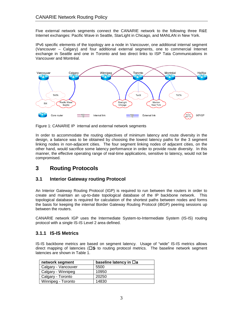Five external network segments connect the CANARIE network to the following three R&E Internet exchanges: Pacific Wave in Seattle, StarLight in Chicago, and MANLAN in New York.

IPv6 specific elements of the topology are a node in Vancouver, one additional internal segment (Vancouver – Calgary) and four additional external segments, one to commercial Internet exchange in Seattle and one in Toronto and two direct links to ISP Tata Communications in Vancouver and Montréal.



Figure 1: CANARIE IP internal and external network segments

In order to accommodate the routing objectives of minimum latency and route diversity in the design, a balance was to be obtained by choosing the lowest latency paths for the 3 segment linking nodes in non-adjacent cities. The four segment linking nodes of adjacent cities, on the other hand, would sacrifice some latency performance in order to provide route diversity. In this manner, the effective operating range of real-time applications, sensitive to latency, would not be compromised.

# **3 Routing Protocols**

## **3.1 Interior Gateway routing Protocol**

An Interior Gateway Routing Protocol (IGP) is required to run between the routers in order to create and maintain an up-to-date topological database of the IP backbone network. This topological database is required for calculation of the shortest paths between nodes and forms the basis for keeping the internal Border Gateway Routing Protocol (iBGP) peering sessions up between the routers.

CANARIE network IGP uses the Intermediate System-to-Intermediate System (IS-IS) routing protocol with a single IS-IS Level 2 area defined.

## **3.1.1 IS-IS Metrics**

IS-IS backbone metrics are based on segment latency. Usage of "wide" IS-IS metrics allows direct mapping of latencies ( $\square$ S to routing protocol metrics. The baseline network segment latencies are shown in Table 1.

| network segment     | baseline latency in $\Box$ a |
|---------------------|------------------------------|
| Calgary - Vancouver | 5500                         |
| Calgary - Winnipeg  | 10950                        |
| Calgary - Toronto   | 20250                        |
| Winnipeg - Toronto  | 14830                        |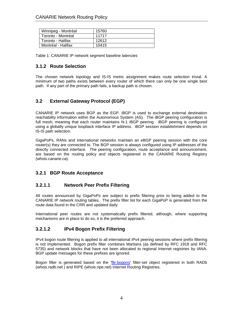| Winnipeg - Montréal | 15760 |
|---------------------|-------|
| Toronto - Montréal  | 11717 |
| Toronto - Halifax   | 12612 |
| Montréal - Halifax  | 10415 |

Table 1: CANARIE IP network segment baseline latencies

## **3.1.2 Route Selection**

The chosen network topology and IS-IS metric assignment makes route selection trivial. A minimum of two paths exists between every router of which there can only be one single best path. If any part of the primary path fails, a backup path is chosen.

## **3.2 External Gateway Protocol (EGP)**

CANARIE IP network uses BGP as the EGP. iBGP is used to exchange external destination reachability information within the Autonomous System (AS). The iBGP peering configuration is full mesh; meaning that each router maintains N-1 iBGP peering. iBGP peering is configured using a globally unique loopback interface IP address. iBGP session establishment depends on IS-IS path selection.

GigaPoPs, RANs and international networks maintain an eBGP peering session with the core router(s) they are connected to. The BGP session is always configured using IP addresses of the directly connected interface. The peering configuration, route acceptance and announcement, are based on the routing policy and objects registered in the CANARIE Routing Registry (whois.canarie.ca).

## **3.2.1 BGP Route Acceptance**

## **3.2.1.1 Network Peer Prefix Filtering**

All routes announced by GigaPoPs are subject to prefix filtering prior to being added to the CANARIE IP network routing tables. The prefix filter list for each GigaPoP is generated from the route data found in the CRR and updated daily.

International peer routes are not systematically prefix filtered, although, where supporting mechanisms are in place to do so, it is the preferred approach.

## **3.2.1.2 IPv4 Bogon Prefix Filtering**

IPv4 bogon route filtering is applied to all international IPv4 peering sessions where prefix filtering is not implemented. Bogon prefix filter combines Martians (as defined by RFC 1918 and RFC 5735) and network blocks that have not been allocated to regional Internet registries by IANA. BGP update messages for these prefixes are ignored.

Bogon filter is generated based on the ['fltr-bogons'](http://www.radb.net/cgi-bin/radb/whois.cgi?obj=fltr-bogons) filter-set object registered in both RADb (whois.radb.net ) and RIPE (whois.ripe.net) Internet Routing Registries.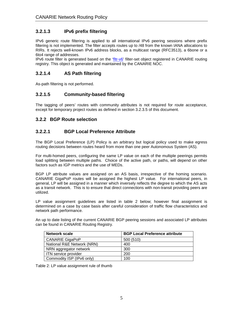## **3.2.1.3 IPv6 prefix filtering**

IPv6 generic route filtering is applied to all international IPv6 peering sessions where prefix filtering is not implemented. The filter accepts routes up to /48 from the known IANA allocations to RIRs. It rejects well-known IPv6 address blocks, as a multicast range (RFC3513), a 6bone or a 6to4 range of addresses.

IPv6 route filter is generated based on the ['fltr-v6'](http://www.radb.net/cgi-bin/radb/whois.cgi?obj=fltr-bogons) filter-set object registered in CANARIE routing registry. This object is generated and maintained by the CANARIE NOC.

## **3.2.1.4 AS Path filtering**

As-path filtering is not performed.

## **3.2.1.5 Community-based filtering**

The tagging of peers' routes with community attributes is not required for route acceptance, except for temporary project routes as defined in section 3.2.3.5 of this document.

#### **3.2.2 BGP Route selection**

#### **3.2.2.1 BGP Local Preference Attribute**

The BGP Local Preference (LP) Policy is an arbitrary but logical policy used to make egress routing decisions between routes heard from more than one peer Autonomous System (AS).

For multi-homed peers, configuring the same LP value on each of the multiple peerings permits load splitting between multiple paths. Choice of the active path, or paths, will depend on other factors such as IGP metrics and the use of MEDs.

BGP LP attribute values are assigned on an AS basis, irrespective of the homing scenario. CANARIE GigaPoP routes will be assigned the highest LP value. For international peers, in general, LP will be assigned in a manner which inversely reflects the degree to which the AS acts as a transit network. This is to ensure that direct connections with non-transit providing peers are utilized.

LP value assignment guidelines are listed in table 2 below; however final assignment is determined on a case by case basis after careful consideration of traffic flow characteristics and network path performance.

An up to date listing of the current CANARIE BGP peering sessions and associated LP attributes can be found in CANARIE Routing Registry.

| <b>Network scale</b>       | <b>BGP Local Preference attribute</b> |
|----------------------------|---------------------------------------|
| <b>CANARIE GigaPoP</b>     | 500 (510)                             |
| National R&E Network (NRN) | 400                                   |
| NRN aggregator network     | 300                                   |
| ITN service provider       | 200                                   |
| Commodity ISP (IPv6 only)  | 100                                   |

Table 2: LP value assignment rule of thumb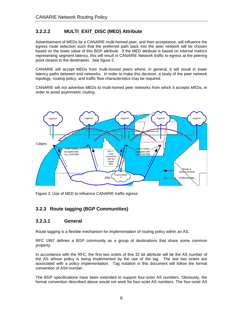## **3.2.2.2 MULTI\_EXIT\_DISC (MED) Attribute**

Advertisement of MEDs by a CANARIE multi-homed peer, and their acceptance, will influence the egress route selection such that the preferred path back into the peer network will be chosen based on the lower value of this BGP attribute. If the MED attribute is based on internal metrics representing segment latency, this will result in CANARIE Network traffic to egress at the peering point closest to the destination. See figure 2.

CANARIE will accept MEDs from multi-homed peers where, in general, it will result in lower latency paths between end networks. In order to make this decision, a study of the peer network topology, routing policy, and traffic flow characteristics may be required.

CANARIE will not advertise MEDs to multi-homed peer networks from which it accepts MEDs, in order to avoid asymmetric routing.



Figure 2: Use of MED to influence CANARIE traffic egress

## **3.2.3 Route tagging (BGP Communities)**

#### **3.2.3.1 General**

Route tagging is a flexible mechanism for implementation of routing policy within an AS.

RFC 1997 defines a BGP community as a group of destinations that share some common property.

In accordance with the RFC, the first two octets of this 32 bit attribute will be the AS number of the AS whose policy is being implemented by the use of the tag. The last two octets are associated with a policy implementation. Tag notation in this document will follow the format convention of AS#:number.

The BGP specifications have been extended to support four-octet AS numbers. Obviously, the format convention described above would not work for four-octet AS numbers. The four-octet AS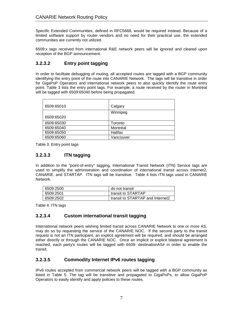Specific Extended Communities, defined in RFC5668, would be required instead. Because of a limited software support by router vendors and no need for their practical use, the extended communities are currently not utilized.

6509:x tags received from international R&E network peers will be ignored and cleared upon reception of the BGP announcement.

## **3.2.3.2 Entry point tagging**

In order to facilitate debugging of routing, all accepted routes are tagged with a BGP community identifying the entry point of the route into CANARIE Network. The tags will be transitive in order for GigaPoP Operators and international network peers to also quickly identify the route entry point. Table 3 lists the entry point tags. For example, a route received by the router in Montréal will be tagged with 6509:65040 before being propagated.

| 6509:65010 | Calgary   |
|------------|-----------|
|            | Winnipeg  |
| 6509:65020 |           |
| 6509:65030 | Toronto   |
| 6509:65040 | Montréal  |
| 6509:65050 | Halifax   |
| 6509:65060 | Vancouver |

Table 3: Entry point tags

## **3.2.3.3 ITN tagging**

In addition to the "point-of-entry" tagging, International Transit Network (ITN) Service tags are used to simplify the administration and coordination of international transit across Internet2, CANARIE, and STARTAP. ITN tags will be transitive. Table 4 lists ITN tags used in CANARIE Network.

| 6509:2500 | do not transit                     |
|-----------|------------------------------------|
| 6509:2501 | I transit to STARTAP               |
| 6509:2502 | I transit to STARTAP and Internet2 |

Table 4: ITN tags

## **3.2.3.4 Custom international transit tagging**

International network peers wishing limited transit across CANARIE Network to one or more AS, may do so by requesting the service of the CANARIE NOC. If the second party to the transit request is not an ITN participant, an explicit agreement will be required, and should be arranged either directly or through the CANARIE NOC. Once an implicit or explicit bilateral agreement is reached, each party's routes will be tagged with 6509: destinationAS# in order to enable the transit.

## **3.2.3.5 Commodity Internet IPv6 routes tagging**

IPv6 routes accepted from commercial network peers will be tagged with a BGP community as listed in Table 5. The tag will be transitive and propagated to GigaPoPs, to allow GigaPoP Operators to easily identify and apply policies to these routes.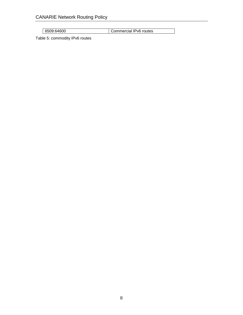6509:64600 Commercial IPv6 routes

Table 5: commodity IPv6 routes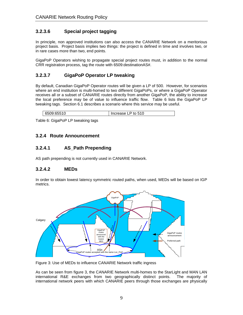## **3.2.3.6 Special project tagging**

In principle, non approved institutions can also access the CANARIE Network on a meritorious project basis. Project basis implies two things: the project is defined in time and involves two, or in rare cases more than two, end points.

GigaPoP Operators wishing to propagate special project routes must, in addition to the normal CRR registration process, tag the route with 6509:destinationAS#.

## **3.2.3.7 GigaPoP Operator LP tweaking**

By default, Canadian GigaPoP Operator routes will be given a LP of 500. However, for scenarios where an end institution is multi-homed to two different GigaPoPs, or where a GigaPoP Operator receives all or a subset of CANARIE routes directly from another GigaPoP, the ability to increase the local preference may be of value to influence traffic flow. Table 6 lists the GigaPoP LP tweaking tags. Section 6.1 describes a scenario where this service may be useful.

| 6500.65510<br>to 510<br>Increase L<br>.<br>n:<br>. |
|----------------------------------------------------|
|----------------------------------------------------|

Table 6: GigaPoP LP tweaking tags

## **3.2.4 Route Announcement**

#### **3.2.4.1 AS\_Path Prepending**

AS path prepending is not currently used in CANARIE Network.

#### **3.2.4.2 MEDs**

In order to obtain lowest latency symmetric routed paths, when used, MEDs will be based on IGP metrics.



Figure 3: Use of MEDs to influence CANARIE Network traffic ingress

As can be seen from figure 3, the CANARIE Network multi-homes to the StarLight and MAN LAN international R&E exchanges from two geographically distinct points. The majority of international network peers with which CANARIE peers through those exchanges are physically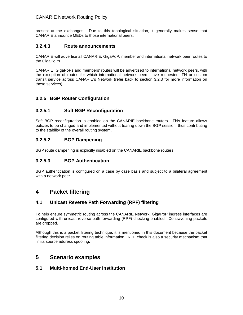present at the exchanges. Due to this topological situation, it generally makes sense that CANARIE announce MEDs to those international peers.

#### **3.2.4.3 Route announcements**

CANARIE will advertise all CANARIE, GigaPoP, member and international network peer routes to the GigaPoPs.

CANARIE, GigaPoPs and members' routes will be advertised to international network peers, with the exception of routes for which international network peers have requested ITN or custom transit service across CANARIE's Network (refer back to section 3.2.3 for more information on these services).

## **3.2.5 BGP Router Configuration**

## **3.2.5.1 Soft BGP Reconfiguration**

Soft BGP reconfiguration is enabled on the CANARIE backbone routers. This feature allows policies to be changed and implemented without tearing down the BGP session, thus contributing to the stability of the overall routing system.

## **3.2.5.2 BGP Dampening**

BGP route dampening is explicitly disabled on the CANARIE backbone routers.

## **3.2.5.3 BGP Authentication**

BGP authentication is configured on a case by case basis and subject to a bilateral agreement with a network peer.

# **4 Packet filtering**

## **4.1 Unicast Reverse Path Forwarding (RPF) filtering**

To help ensure symmetric routing across the CANARIE Network, GigaPoP ingress interfaces are configured with unicast reverse path forwarding (RPF) checking enabled. Contravening packets are dropped.

Although this is a packet filtering technique, it is mentioned in this document because the packet filtering decision relies on routing table information. RPF check is also a security mechanism that limits source address spoofing.

# **5 Scenario examples**

#### **5.1 Multi-homed End-User Institution**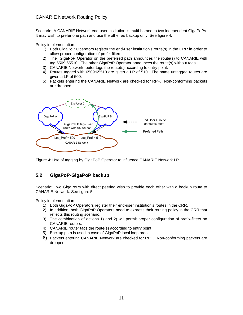Scenario: A CANARIE Network end-user institution is multi-homed to two independent GigaPoPs. It may wish to prefer one path and use the other as backup only. See figure 4.

Policy implementation:

- 1) Both GigaPoP Operators register the end-user institution's route(s) in the CRR in order to allow proper configuration of prefix-filters.
- 2) The GigaPoP Operator on the preferred path announces the route(s) to CANARIE with tag 6509:65510. The other GigaPoP Operator announces the route(s) without tags.
- 3) CANARIE Network router tags the route(s) according to entry point.
- 4) Routes tagged with 6509:65510 are given a LP of 510. The same untagged routes are given a LP of 500.
- 5) Packets entering the CANARIE Network are checked for RPF. Non-conforming packets are dropped.



Figure 4: Use of tagging by GigaPoP Operator to influence CANARIE Network LP.

## **5.2 GigaPoP-GigaPoP backup**

Scenario: Two GigaPoPs with direct peering wish to provide each other with a backup route to CANARIE Network. See figure 5.

Policy implementation:

- 1) Both GigaPoP Operators register their end-user institution's routes in the CRR.
- 2) In addition, both GigaPoP Operators need to express their routing policy in the CRR that reflects this routing scenario.
- 3) The combination of actions 1) and 2) will permit proper configuration of prefix-filters on CANARIE routers.
- 4) CANARIE router tags the route(s) according to entry point.
- 5) Backup path is used in case of GigaPoP local loop break.
- 6) Packets entering CANARIE Network are checked for RPF. Non-conforming packets are dropped.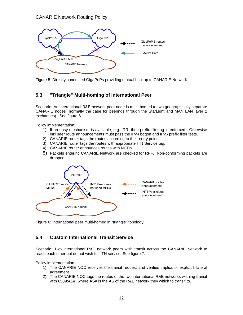

Figure 5: Directly connected GigaPoPs providing mutual backup to CANARIE Network.

## **5.3 "Triangle" Multi-homing of International Peer**

Scenario: An international R&E network peer node is multi-homed to two geographically separate CANARIE nodes (normally the case for peerings through the StarLight and MAN LAN layer 2 exchanges). See figure 6.

Policy implementation:

- 1) If an easy mechanism is available, e.g. IRR, then prefix filtering is enforced. Otherwise int'l peer route announcements must pass the IPv4 bogon and IPv6 prefix filter tests.
- 2) CANARIE router tags the routes according to their entry point.
- 3) CANARIE router tags the routes with appropriate ITN Service tag.
- 4) CANARIE router announces routes with MEDs.
- 5) Packets entering CANARIE Network are checked for RPF. Non-conforming packets are dropped.



Figure 6: International peer multi-homed in "triangle" topology.

## **5.4 Custom International Transit Service**

Scenario: Two international R&E network peers wish transit across the CANARIE Network to reach each other but do not wish full ITN service. See figure 7.

Policy implementation:

- 1) The CANARIE NOC receives the transit request and verifies implicit or explicit bilateral agreement.
- 2) The CANARIE NOC tags the routes of the two international R&E networks wishing transit with 6509:AS#, where AS# is the AS of the R&E network they which to transit to.